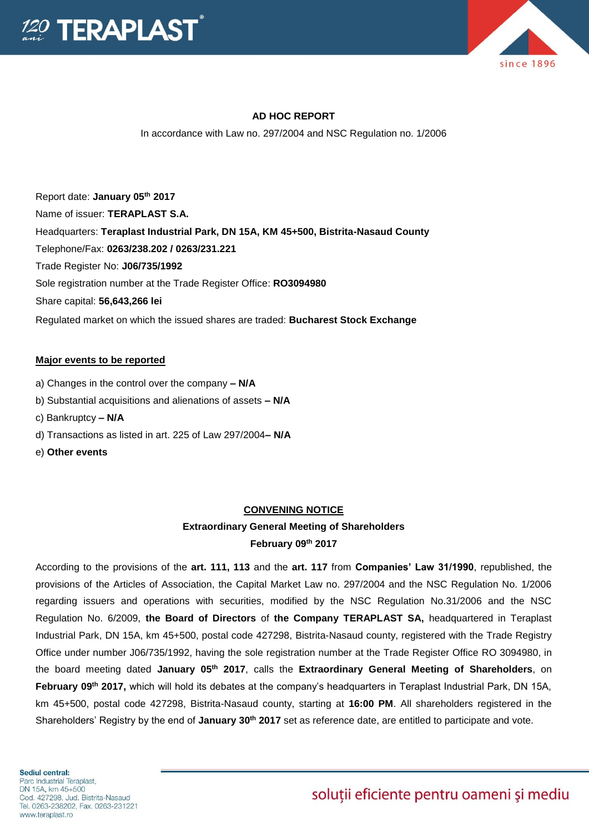



#### **AD HOC REPORT**

In accordance with Law no. 297/2004 and NSC Regulation no. 1/2006

Report date: **January 05th 2017** Name of issuer: **TERAPLAST S.A.**  Headquarters: **Teraplast Industrial Park, DN 15A, KM 45+500, Bistrita-Nasaud County** Telephone/Fax: **0263/238.202 / 0263/231.221** Trade Register No: **J06/735/1992** Sole registration number at the Trade Register Office: **RO3094980** Share capital: **56,643,266 lei** Regulated market on which the issued shares are traded: **Bucharest Stock Exchange**

#### **Major events to be reported**

- a) Changes in the control over the company **– N/A**
- b) Substantial acquisitions and alienations of assets **– N/A**
- c) Bankruptcy **– N/A**
- d) Transactions as listed in art. 225 of Law 297/2004**– N/A**
- e) **Other events**

#### **CONVENING NOTICE**

### **Extraordinary General Meeting of Shareholders February 09 th 2017**

According to the provisions of the **art. 111, 113** and the **art. 117** from **Companies' Law 31/1990**, republished, the provisions of the Articles of Association, the Capital Market Law no. 297/2004 and the NSC Regulation No. 1/2006 regarding issuers and operations with securities, modified by the NSC Regulation No.31/2006 and the NSC Regulation No. 6/2009, **the Board of Directors** of **the Company TERAPLAST SA,** headquartered in Teraplast Industrial Park, DN 15A, km 45+500, postal code 427298, Bistrita-Nasaud county, registered with the Trade Registry Office under number J06/735/1992, having the sole registration number at the Trade Register Office RO 3094980, in the board meeting dated **January 05th 2017**, calls the **Extraordinary General Meeting of Shareholders**, on **February 09th 2017,** which will hold its debates at the company's headquarters in Teraplast Industrial Park, DN 15A, km 45+500, postal code 427298, Bistrita-Nasaud county, starting at **16:00 PM**. All shareholders registered in the Shareholders' Registry by the end of **January 30th 2017** set as reference date, are entitled to participate and vote.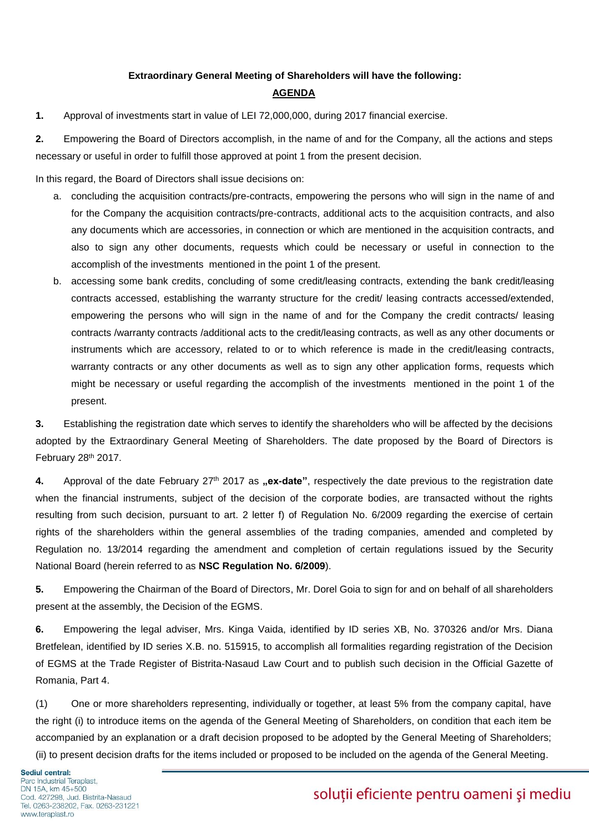### **Extraordinary General Meeting of Shareholders will have the following: AGENDA**

**1.** Approval of investments start in value of LEI 72,000,000, during 2017 financial exercise.

**2.** Empowering the Board of Directors accomplish, in the name of and for the Company, all the actions and steps necessary or useful in order to fulfill those approved at point 1 from the present decision.

In this regard, the Board of Directors shall issue decisions on:

- a. concluding the acquisition contracts/pre-contracts, empowering the persons who will sign in the name of and for the Company the acquisition contracts/pre-contracts, additional acts to the acquisition contracts, and also any documents which are accessories, in connection or which are mentioned in the acquisition contracts, and also to sign any other documents, requests which could be necessary or useful in connection to the accomplish of the investments mentioned in the point 1 of the present.
- b. accessing some bank credits, concluding of some credit/leasing contracts, extending the bank credit/leasing contracts accessed, establishing the warranty structure for the credit/ leasing contracts accessed/extended, empowering the persons who will sign in the name of and for the Company the credit contracts/ leasing contracts /warranty contracts /additional acts to the credit/leasing contracts, as well as any other documents or instruments which are accessory, related to or to which reference is made in the credit/leasing contracts, warranty contracts or any other documents as well as to sign any other application forms, requests which might be necessary or useful regarding the accomplish of the investments mentioned in the point 1 of the present.

**3.** Establishing the registration date which serves to identify the shareholders who will be affected by the decisions adopted by the Extraordinary General Meeting of Shareholders. The date proposed by the Board of Directors is February 28th 2017.

4. Approval of the date February 27<sup>th</sup> 2017 as "ex-date", respectively the date previous to the registration date when the financial instruments, subject of the decision of the corporate bodies, are transacted without the rights resulting from such decision, pursuant to art. 2 letter f) of Regulation No. 6/2009 regarding the exercise of certain rights of the shareholders within the general assemblies of the trading companies, amended and completed by Regulation no. 13/2014 regarding the amendment and completion of certain regulations issued by the Security National Board (herein referred to as **NSC Regulation No. 6/2009**).

**5.** Empowering the Chairman of the Board of Directors, Mr. Dorel Goia to sign for and on behalf of all shareholders present at the assembly, the Decision of the EGMS.

**6.** Empowering the legal adviser, Mrs. Kinga Vaida, identified by ID series XB, No. 370326 and/or Mrs. Diana Bretfelean, identified by ID series X.B. no. 515915, to accomplish all formalities regarding registration of the Decision of EGMS at the Trade Register of Bistrita-Nasaud Law Court and to publish such decision in the Official Gazette of Romania, Part 4.

(1) One or more shareholders representing, individually or together, at least 5% from the company capital, have the right (i) to introduce items on the agenda of the General Meeting of Shareholders, on condition that each item be accompanied by an explanation or a draft decision proposed to be adopted by the General Meeting of Shareholders; (ii) to present decision drafts for the items included or proposed to be included on the agenda of the General Meeting.

Sediul central: Parc Industrial Teraplast, DN 15A, km 45+500 Cod. 427298, Jud. Bistrita-Nasaud Tel. 0263-238202, Fax. 0263-231221 www.teraplast.ro

## soluții eficiente pentru oameni și mediu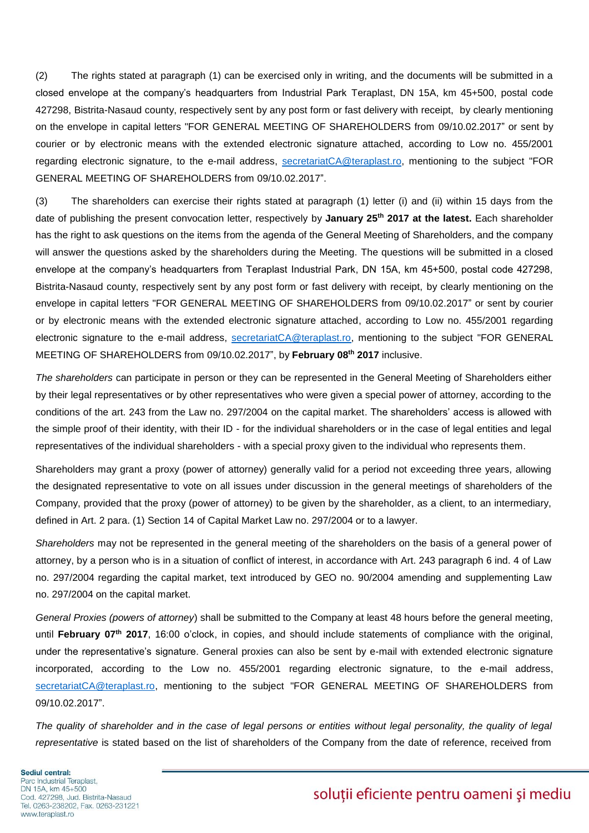(2) The rights stated at paragraph (1) can be exercised only in writing, and the documents will be submitted in a closed envelope at the company's headquarters from Industrial Park Teraplast, DN 15A, km 45+500, postal code 427298, Bistrita-Nasaud county, respectively sent by any post form or fast delivery with receipt, by clearly mentioning on the envelope in capital letters "FOR GENERAL MEETING OF SHAREHOLDERS from 09/10.02.2017" or sent by courier or by electronic means with the extended electronic signature attached, according to Low no. 455/2001 regarding electronic signature, to the e-mail address, [secretariatCA@teraplast.ro,](mailto:secretariatCA@teraplast.ro) mentioning to the subject "FOR GENERAL MEETING OF SHAREHOLDERS from 09/10.02.2017".

(3) The shareholders can exercise their rights stated at paragraph (1) letter (i) and (ii) within 15 days from the date of publishing the present convocation letter, respectively by **January 25th 2017 at the latest.** Each shareholder has the right to ask questions on the items from the agenda of the General Meeting of Shareholders, and the company will answer the questions asked by the shareholders during the Meeting. The questions will be submitted in a closed envelope at the company's headquarters from Teraplast Industrial Park, DN 15A, km 45+500, postal code 427298, Bistrita-Nasaud county, respectively sent by any post form or fast delivery with receipt, by clearly mentioning on the envelope in capital letters "FOR GENERAL MEETING OF SHAREHOLDERS from 09/10.02.2017" or sent by courier or by electronic means with the extended electronic signature attached, according to Low no. 455/2001 regarding electronic signature to the e-mail address, [secretariatCA@teraplast.ro,](mailto:secretariatCA@teraplast.ro) mentioning to the subject "FOR GENERAL MEETING OF SHAREHOLDERS from 09/10.02.2017", by **February 08th 2017** inclusive.

*The shareholders* can participate in person or they can be represented in the General Meeting of Shareholders either by their legal representatives or by other representatives who were given a special power of attorney, according to the conditions of the art. 243 from the Law no. 297/2004 on the capital market. The shareholders' access is allowed with the simple proof of their identity, with their ID - for the individual shareholders or in the case of legal entities and legal representatives of the individual shareholders - with a special proxy given to the individual who represents them.

Shareholders may grant a proxy (power of attorney) generally valid for a period not exceeding three years, allowing the designated representative to vote on all issues under discussion in the general meetings of shareholders of the Company, provided that the proxy (power of attorney) to be given by the shareholder, as a client, to an intermediary, defined in Art. 2 para. (1) Section 14 of Capital Market Law no. 297/2004 or to a lawyer.

*Shareholders* may not be represented in the general meeting of the shareholders on the basis of a general power of attorney, by a person who is in a situation of conflict of interest, in accordance with Art. 243 paragraph 6 ind. 4 of Law no. 297/2004 regarding the capital market, text introduced by GEO no. 90/2004 amending and supplementing Law no. 297/2004 on the capital market.

*General Proxies (powers of attorney*) shall be submitted to the Company at least 48 hours before the general meeting, until **February 07th 2017**, 16:00 o'clock, in copies, and should include statements of compliance with the original, under the representative's signature. General proxies can also be sent by e-mail with extended electronic signature incorporated, according to the Low no. 455/2001 regarding electronic signature, to the e-mail address, [secretariatCA@teraplast.ro,](mailto:secretariatCA@teraplast.ro) mentioning to the subject "FOR GENERAL MEETING OF SHAREHOLDERS from 09/10.02.2017".

The quality of shareholder and in the case of legal persons or entities without legal personality, the quality of legal *representative* is stated based on the list of shareholders of the Company from the date of reference, received from

Sediul central: Parc Industrial Teraplast, DN 15A, km 45+500 Cod. 427298, Jud. Bistrita-Nasaud Tel. 0263-238202, Fax. 0263-231221 www.teraplast.ro

# soluții eficiente pentru oameni și mediu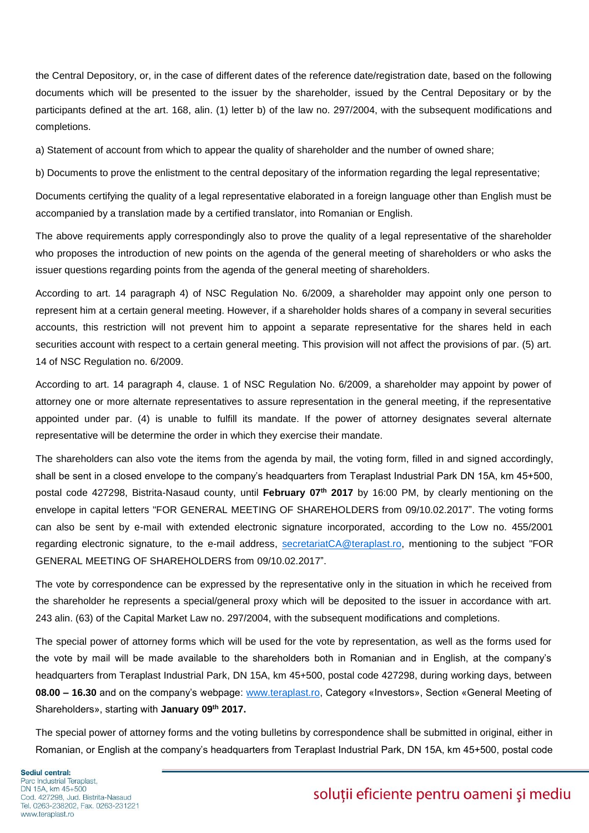the Central Depository, or, in the case of different dates of the reference date/registration date, based on the following documents which will be presented to the issuer by the shareholder, issued by the Central Depositary or by the participants defined at the art. 168, alin. (1) letter b) of the law no. 297/2004, with the subsequent modifications and completions.

a) Statement of account from which to appear the quality of shareholder and the number of owned share;

b) Documents to prove the enlistment to the central depositary of the information regarding the legal representative;

Documents certifying the quality of a legal representative elaborated in a foreign language other than English must be accompanied by a translation made by a certified translator, into Romanian or English.

The above requirements apply correspondingly also to prove the quality of a legal representative of the shareholder who proposes the introduction of new points on the agenda of the general meeting of shareholders or who asks the issuer questions regarding points from the agenda of the general meeting of shareholders.

According to art. 14 paragraph 4) of NSC Regulation No. 6/2009, a shareholder may appoint only one person to represent him at a certain general meeting. However, if a shareholder holds shares of a company in several securities accounts, this restriction will not prevent him to appoint a separate representative for the shares held in each securities account with respect to a certain general meeting. This provision will not affect the provisions of par. (5) art. 14 of NSC Regulation no. 6/2009.

According to art. 14 paragraph 4, clause. 1 of NSC Regulation No. 6/2009, a shareholder may appoint by power of attorney one or more alternate representatives to assure representation in the general meeting, if the representative appointed under par. (4) is unable to fulfill its mandate. If the power of attorney designates several alternate representative will be determine the order in which they exercise their mandate.

The shareholders can also vote the items from the agenda by mail, the voting form, filled in and signed accordingly, shall be sent in a closed envelope to the company's headquarters from Teraplast Industrial Park DN 15A, km 45+500, postal code 427298, Bistrita-Nasaud county, until **February 07th 2017** by 16:00 PM, by clearly mentioning on the envelope in capital letters "FOR GENERAL MEETING OF SHAREHOLDERS from 09/10.02.2017". The voting forms can also be sent by e-mail with extended electronic signature incorporated, according to the Low no. 455/2001 regarding electronic signature, to the e-mail address, [secretariatCA@teraplast.ro,](mailto:secretariatCA@teraplast.ro) mentioning to the subject "FOR GENERAL MEETING OF SHAREHOLDERS from 09/10.02.2017".

The vote by correspondence can be expressed by the representative only in the situation in which he received from the shareholder he represents a special/general proxy which will be deposited to the issuer in accordance with art. 243 alin. (63) of the Capital Market Law no. 297/2004, with the subsequent modifications and completions.

The special power of attorney forms which will be used for the vote by representation, as well as the forms used for the vote by mail will be made available to the shareholders both in Romanian and in English, at the company's headquarters from Teraplast Industrial Park, DN 15A, km 45+500, postal code 427298, during working days, between **08.00 – 16.30** and on the company's webpage: [www.teraplast.ro,](http://www.teraplast.ro/) Category «Investors», Section «General Meeting of Shareholders», starting with **January 09th 2017.**

The special power of attorney forms and the voting bulletins by correspondence shall be submitted in original, either in Romanian, or English at the company's headquarters from Teraplast Industrial Park, DN 15A, km 45+500, postal code

# soluții eficiente pentru oameni și mediu